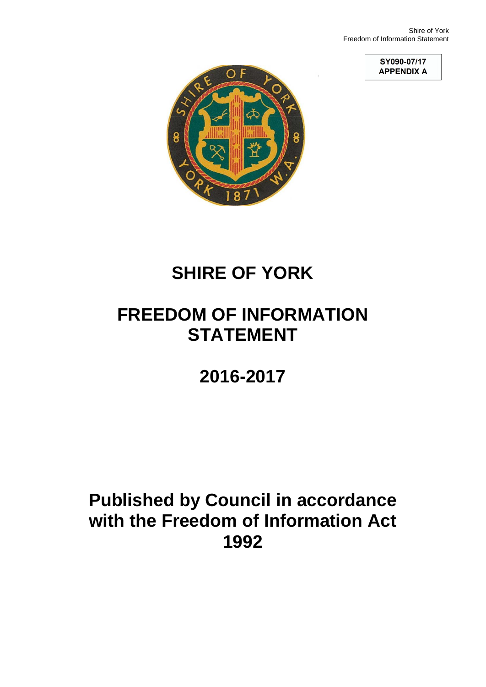**SY090-07/17<br>APPENDIX A** 



# **SHIRE OF YORK**

# **FREEDOM OF INFORMATION STATEMENT**

# **2016-2017**

# **Published by Council in accordance with the Freedom of Information Act 1992**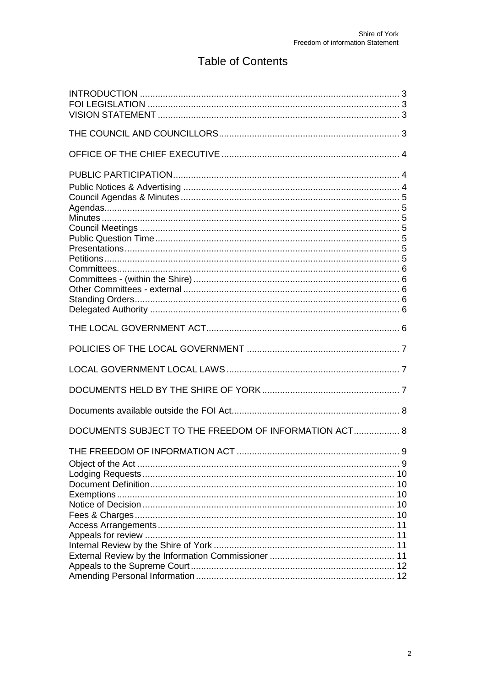# **Table of Contents**

| DOCUMENTS SUBJECT TO THE FREEDOM OF INFORMATION ACT 8 |       |
|-------------------------------------------------------|-------|
| THE FREEDOM OF INFORMATION ACT                        | $9\,$ |
|                                                       |       |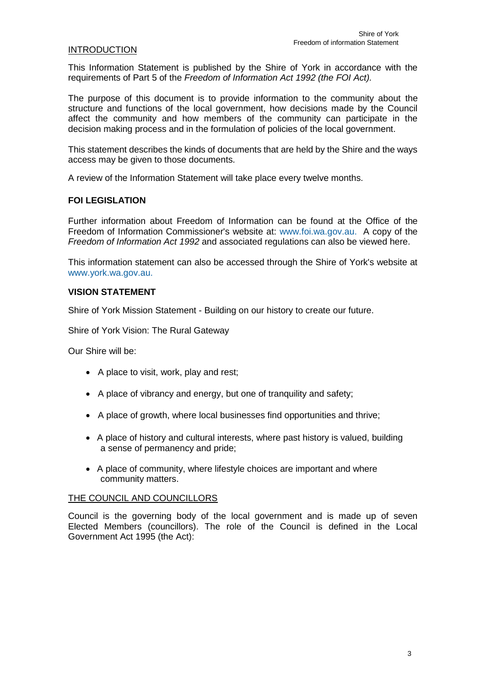# INTRODUCTION

This Information Statement is published by the Shire of York in accordance with the requirements of Part 5 of the *Freedom of Information Act 1992 (the FOI Act).*

The purpose of this document is to provide information to the community about the structure and functions of the local government, how decisions made by the Council affect the community and how members of the community can participate in the decision making process and in the formulation of policies of the local government.

This statement describes the kinds of documents that are held by the Shire and the ways access may be given to those documents.

A review of the Information Statement will take place every twelve months.

# **FOI LEGISLATION**

Further information about Freedom of Information can be found at the Office of the Freedom of Information Commissioner's website at: [www.foi.wa.gov.au.](http://www.foi.wa.gov.au/) A copy of the *Freedom of Information Act 1992* and associated regulations can also be viewed here.

This information statement can also be accessed through the Shire of York's website at [www.york.wa.gov.au.](http://www.york.wa.gov.au/)

### <span id="page-2-0"></span>**VISION STATEMENT**

Shire of York Mission Statement - Building on our history to create our future.

Shire of York Vision: The Rural Gateway

Our Shire will be:

- A place to visit, work, play and rest;
- A place of vibrancy and energy, but one of tranquility and safety;
- A place of growth, where local businesses find opportunities and thrive;
- A place of history and cultural interests, where past history is valued, building a sense of permanency and pride;
- A place of community, where lifestyle choices are important and where community matters.

#### THE COUNCIL AND COUNCILLORS

Council is the governing body of the local government and is made up of seven Elected Members (councillors). The role of the Council is defined in the Local Government Act 1995 (the Act):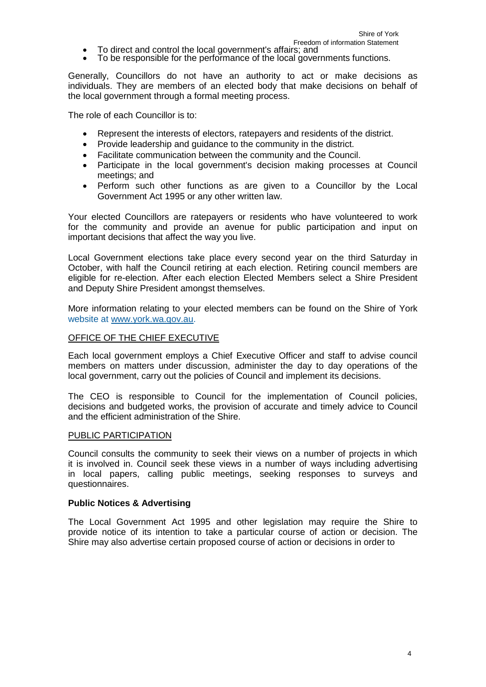- To direct and control the local government's affairs; and
- To be responsible for the performance of the local governments functions.

Generally, Councillors do not have an authority to act or make decisions as individuals. They are members of an elected body that make decisions on behalf of the local government through a formal meeting process.

The role of each Councillor is to:

- Represent the interests of electors, ratepayers and residents of the district.
- Provide leadership and guidance to the community in the district.
- Facilitate communication between the community and the Council.
- Participate in the local government's decision making processes at Council meetings; and
- Perform such other functions as are given to a Councillor by the Local Government Act 1995 or any other written law.

Your elected Councillors are ratepayers or residents who have volunteered to work for the community and provide an avenue for public participation and input on important decisions that affect the way you live.

Local Government elections take place every second year on the third Saturday in October, with half the Council retiring at each election. Retiring council members are eligible for re-election. After each election Elected Members select a Shire President and Deputy Shire President amongst themselves.

More information relating to your elected members can be found on the Shire of York website at [www.york.wa.qov.au.](http://www.york.wa.qov.au/)

### OFFICE OF THE CHIEF EXECUTIVE

Each local government employs a Chief Executive Officer and staff to advise council members on matters under discussion, administer the day to day operations of the local government, carry out the policies of Council and implement its decisions.

The CEO is responsible to Council for the implementation of Council policies, decisions and budgeted works, the provision of accurate and timely advice to Council and the efficient administration of the Shire.

#### PUBLIC PARTICIPATION

Council consults the community to seek their views on a number of projects in which it is involved in. Council seek these views in a number of ways including advertising in local papers, calling public meetings, seeking responses to surveys and questionnaires.

#### <span id="page-3-0"></span>**Public Notices & Advertising**

The Local Government Act 1995 and other legislation may require the Shire to provide notice of its intention to take a particular course of action or decision. The Shire may also advertise certain proposed course of action or decisions in order to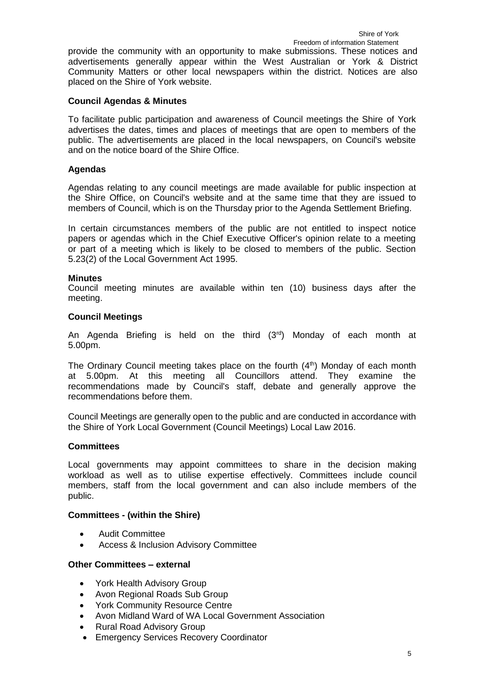### provide the community with an opportunity to make submissions. These notices and advertisements generally appear within the West Australian or York & District Community Matters or other local newspapers within the district. Notices are also placed on the Shire of York website.

# <span id="page-4-0"></span>**Council Agendas & Minutes**

To facilitate public participation and awareness of Council meetings the Shire of York advertises the dates, times and places of meetings that are open to members of the public. The advertisements are placed in the local newspapers, on Council's website and on the notice board of the Shire Office.

# <span id="page-4-1"></span>**Agendas**

Agendas relating to any council meetings are made available for public inspection at the Shire Office, on Council's website and at the same time that they are issued to members of Council, which is on the Thursday prior to the Agenda Settlement Briefing.

In certain circumstances members of the public are not entitled to inspect notice papers or agendas which in the Chief Executive Officer's opinion relate to a meeting or part of a meeting which is likely to be closed to members of the public. Section 5.23(2) of the Local Government Act 1995.

### <span id="page-4-2"></span>**Minutes**

Council meeting minutes are available within ten (10) business days after the meeting.

### <span id="page-4-3"></span>**Council Meetings**

An Agenda Briefing is held on the third  $(3<sup>rd</sup>)$  Monday of each month at 5.00pm.

The Ordinary Council meeting takes place on the fourth  $(4<sup>th</sup>)$  Monday of each month at 5.00pm. At this meeting all Councillors attend. They examine the recommendations made by Council's staff, debate and generally approve the recommendations before them.

Council Meetings are generally open to the public and are conducted in accordance with the Shire of York Local Government (Council Meetings) Local Law 2016.

# <span id="page-4-4"></span>**Committees**

Local governments may appoint committees to share in the decision making workload as well as to utilise expertise effectively. Committees include council members, staff from the local government and can also include members of the public.

#### <span id="page-4-5"></span>**Committees - (within the Shire)**

- Audit Committee
- Access & Inclusion Advisory Committee

#### <span id="page-4-6"></span>**Other Committees – external**

- York Health Advisory Group
- Avon Regional Roads Sub Group
- York Community Resource Centre
- Avon Midland Ward of WA Local Government Association
- Rural Road Advisory Group
- Emergency Services Recovery Coordinator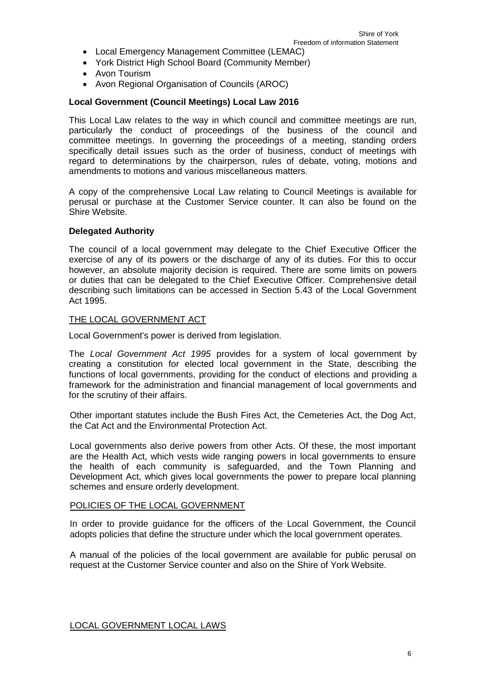- Local Emergency Management Committee (LEMAC)
- York District High School Board (Community Member)
- Avon Tourism
- Avon Regional Organisation of Councils (AROC)

# **Local Government (Council Meetings) Local Law 2016**

This Local Law relates to the way in which council and committee meetings are run, particularly the conduct of proceedings of the business of the council and committee meetings. In governing the proceedings of a meeting, standing orders specifically detail issues such as the order of business, conduct of meetings with regard to determinations by the chairperson, rules of debate, voting, motions and amendments to motions and various miscellaneous matters.

A copy of the comprehensive Local Law relating to Council Meetings is available for perusal or purchase at the Customer Service counter. It can also be found on the Shire Website.

# <span id="page-5-0"></span>**Delegated Authority**

The council of a local government may delegate to the Chief Executive Officer the exercise of any of its powers or the discharge of any of its duties. For this to occur however, an absolute majority decision is required. There are some limits on powers or duties that can be delegated to the Chief Executive Officer. Comprehensive detail describing such limitations can be accessed in Section 5.43 of the Local Government Act 1995.

### THE LOCAL GOVERNMENT ACT

Local Government's power is derived from legislation.

The *Local Government Act 1995* provides for a system of local government by creating a constitution for elected local government in the State, describing the functions of local governments, providing for the conduct of elections and providing a framework for the administration and financial management of local governments and for the scrutiny of their affairs.

Other important statutes include the Bush Fires Act, the Cemeteries Act, the Dog Act, the Cat Act and the Environmental Protection Act.

Local governments also derive powers from other Acts. Of these, the most important are the Health Act, which vests wide ranging powers in local governments to ensure the health of each community is safeguarded, and the Town Planning and Development Act, which gives local governments the power to prepare local planning schemes and ensure orderly development.

# POLICIES OF THE LOCAL GOVERNMENT

In order to provide guidance for the officers of the Local Government, the Council adopts policies that define the structure under which the local government operates.

A manual of the policies of the local government are available for public perusal on request at the Customer Service counter and also on the Shire of York Website.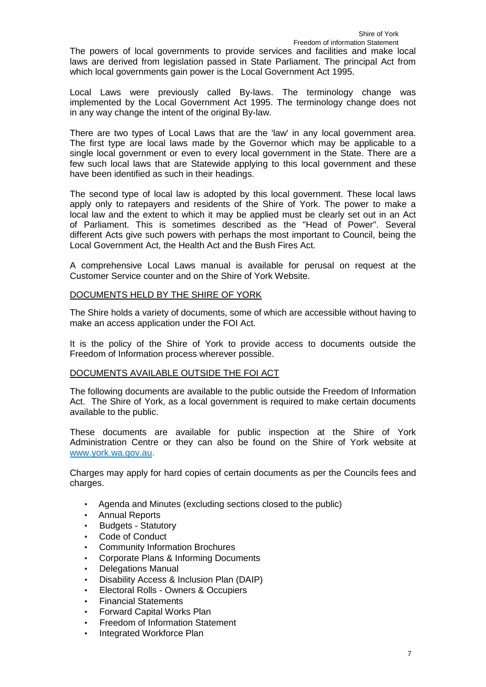# The powers of local governments to provide services and facilities and make local laws are derived from legislation passed in State Parliament. The principal Act from which local governments gain power is the Local Government Act 1995.

Local Laws were previously called By-laws. The terminology change was implemented by the Local Government Act 1995. The terminology change does not in any way change the intent of the original By-law.

There are two types of Local Laws that are the 'law' in any local government area. The first type are local laws made by the Governor which may be applicable to a single local government or even to every local government in the State. There are a few such local laws that are Statewide applying to this local government and these have been identified as such in their headings.

The second type of local law is adopted by this local government. These local laws apply only to ratepayers and residents of the Shire of York. The power to make a local law and the extent to which it may be applied must be clearly set out in an Act of Parliament. This is sometimes described as the "Head of Power". Several different Acts give such powers with perhaps the most important to Council, being the Local Government Act, the Health Act and the Bush Fires Act.

A comprehensive Local Laws manual is available for perusal on request at the Customer Service counter and on the Shire of York Website.

# DOCUMENTS HELD BY THE SHIRE OF YORK

The Shire holds a variety of documents, some of which are accessible without having to make an access application under the FOI Act.

It is the policy of the Shire of York to provide access to documents outside the Freedom of Information process wherever possible.

#### <span id="page-6-0"></span>DOCUMENTS AVAILABLE OUTSIDE THE FOI ACT

The following documents are available to the public outside the Freedom of Information Act. The Shire of York, as a local government is required to make certain documents available to the public.

These documents are available for public inspection at the Shire of York Administration Centre or they can also be found on the Shire of York website at [www.york.wa.qov.au.](http://www.york.wa.qov.au/)

Charges may apply for hard copies of certain documents as per the Councils fees and charges.

- Agenda and Minutes (excluding sections closed to the public)
- Annual Reports
- Budgets Statutory
- Code of Conduct
- Community Information Brochures
- Corporate Plans & Informing Documents
- Delegations Manual
- Disability Access & Inclusion Plan (DAIP)
- Electoral Rolls Owners & Occupiers
- Financial Statements
- Forward Capital Works Plan
- Freedom of Information Statement
- Integrated Workforce Plan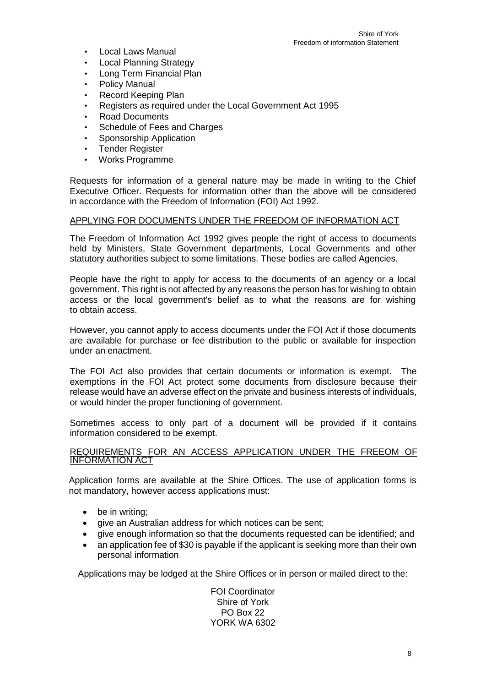- Local Laws Manual
- **Local Planning Strategy**
- Long Term Financial Plan
- Policy Manual
- Record Keeping Plan
- Registers as required under the Local Government Act 1995
- Road Documents
- Schedule of Fees and Charges
- **Sponsorship Application**
- **Tender Register**
- Works Programme

Requests for information of a general nature may be made in writing to the Chief Executive Officer. Requests for information other than the above will be considered in accordance with the Freedom of Information (FOI) Act 1992.

#### APPLYING FOR DOCUMENTS UNDER THE FREEDOM OF INFORMATION ACT

The Freedom of Information Act 1992 gives people the right of access to documents held by Ministers, State Government departments, Local Governments and other statutory authorities subject to some limitations. These bodies are called Agencies.

People have the right to apply for access to the documents of an agency or a local government. This right is not affected by any reasons the person has for wishing to obtain access or the local government's belief as to what the reasons are for wishing to obtain access.

However, you cannot apply to access documents under the FOI Act if those documents are available for purchase or fee distribution to the public or available for inspection under an enactment.

The FOI Act also provides that certain documents or information is exempt. The exemptions in the FOI Act protect some documents from disclosure because their release would have an adverse effect on the private and business interests of individuals, or would hinder the proper functioning of government.

Sometimes access to only part of a document will be provided if it contains information considered to be exempt.

#### REQUIREMENTS FOR AN ACCESS APPLICATION UNDER THE FREEOM OF INFORMATION ACT

Application forms are available at the Shire Offices. The use of application forms is not mandatory, however access applications must:

- be in writing;
- give an Australian address for which notices can be sent;
- give enough information so that the documents requested can be identified; and
- an application fee of \$30 is payable if the applicant is seeking more than their own personal information

Applications may be lodged at the Shire Offices or in person or mailed direct to the:

FOI Coordinator Shire of York PO Box 22 YORK WA 6302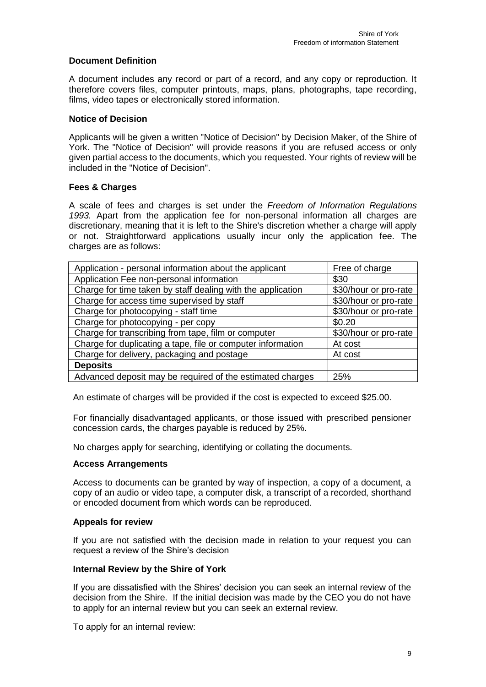# <span id="page-8-0"></span>**Document Definition**

A document includes any record or part of a record, and any copy or reproduction. It therefore covers files, computer printouts, maps, plans, photographs, tape recording, films, video tapes or electronically stored information.

## <span id="page-8-1"></span>**Notice of Decision**

Applicants will be given a written "Notice of Decision" by Decision Maker, of the Shire of York. The "Notice of Decision" will provide reasons if you are refused access or only given partial access to the documents, which you requested. Your rights of review will be included in the "Notice of Decision".

# <span id="page-8-2"></span>**Fees & Charges**

A scale of fees and charges is set under the *Freedom of Information Regulations 1993.* Apart from the application fee for non-personal information all charges are discretionary, meaning that it is left to the Shire's discretion whether a charge will apply or not. Straightforward applications usually incur only the application fee. The charges are as follows:

| Application - personal information about the applicant      | Free of charge        |
|-------------------------------------------------------------|-----------------------|
| Application Fee non-personal information                    | \$30                  |
| Charge for time taken by staff dealing with the application | \$30/hour or pro-rate |
| Charge for access time supervised by staff                  | \$30/hour or pro-rate |
| Charge for photocopying - staff time                        | \$30/hour or pro-rate |
| Charge for photocopying - per copy                          | \$0.20                |
| Charge for transcribing from tape, film or computer         | \$30/hour or pro-rate |
| Charge for duplicating a tape, file or computer information | At cost               |
| Charge for delivery, packaging and postage                  | At cost               |
| <b>Deposits</b>                                             |                       |
| Advanced deposit may be required of the estimated charges   | 25%                   |

An estimate of charges will be provided if the cost is expected to exceed \$25.00.

For financially disadvantaged applicants, or those issued with prescribed pensioner concession cards, the charges payable is reduced by 25%.

No charges apply for searching, identifying or collating the documents.

# <span id="page-8-3"></span>**Access Arrangements**

Access to documents can be granted by way of inspection, a copy of a document, a copy of an audio or video tape, a computer disk, a transcript of a recorded, shorthand or encoded document from which words can be reproduced.

#### <span id="page-8-4"></span>**Appeals for review**

If you are not satisfied with the decision made in relation to your request you can request a review of the Shire's decision

#### <span id="page-8-5"></span>**Internal Review by the Shire of York**

If you are dissatisfied with the Shires' decision you can seek an internal review of the decision from the Shire. If the initial decision was made by the CEO you do not have to apply for an internal review but you can seek an external review.

To apply for an internal review: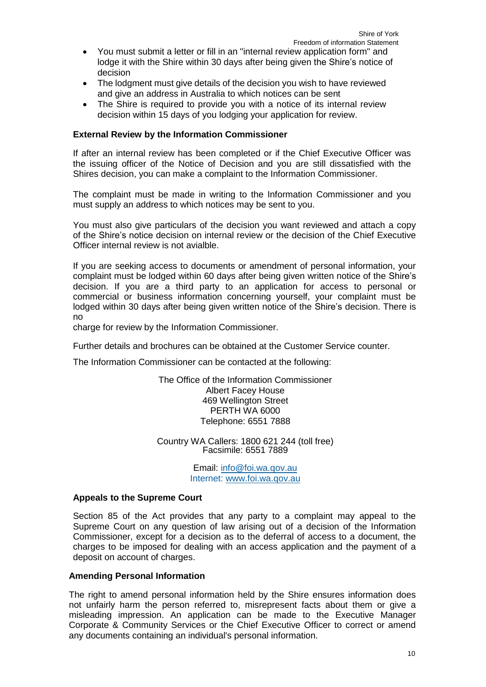- You must submit a letter or fill in an "internal review application form" and lodge it with the Shire within 30 days after being given the Shire's notice of decision
- The lodgment must give details of the decision you wish to have reviewed and give an address in Australia to which notices can be sent
- The Shire is required to provide you with a notice of its internal review decision within 15 days of you lodging your application for review.

### <span id="page-9-0"></span>**External Review by the Information Commissioner**

If after an internal review has been completed or if the Chief Executive Officer was the issuing officer of the Notice of Decision and you are still dissatisfied with the Shires decision, you can make a complaint to the Information Commissioner.

The complaint must be made in writing to the Information Commissioner and you must supply an address to which notices may be sent to you.

You must also give particulars of the decision you want reviewed and attach a copy of the Shire's notice decision on internal review or the decision of the Chief Executive Officer internal review is not avialble.

If you are seeking access to documents or amendment of personal information, your complaint must be lodged within 60 days after being given written notice of the Shire's decision. If you are a third party to an application for access to personal or commercial or business information concerning yourself, your complaint must be lodged within 30 days after being given written notice of the Shire's decision. There is no

charge for review by the Information Commissioner.

Further details and brochures can be obtained at the Customer Service counter.

The Information Commissioner can be contacted at the following:

The Office of the Information Commissioner Albert Facey House 469 Wellington Street PERTH WA 6000 Telephone: 6551 7888

Country WA Callers: 1800 621 244 (toll free) Facsimile: 6551 7889

> Email: [info@foi.wa.qov.au](mailto:info@foi.wa.qov.au) Internet: [www.foi.wa.qov.au](http://www.foi.wa.qov.au/)

#### <span id="page-9-1"></span>**Appeals to the Supreme Court**

Section 85 of the Act provides that any party to a complaint may appeal to the Supreme Court on any question of law arising out of a decision of the Information Commissioner, except for a decision as to the deferral of access to a document, the charges to be imposed for dealing with an access application and the payment of a deposit on account of charges.

## <span id="page-9-2"></span>**Amending Personal Information**

The right to amend personal information held by the Shire ensures information does not unfairly harm the person referred to, misrepresent facts about them or give a misleading impression. An application can be made to the Executive Manager Corporate & Community Services or the Chief Executive Officer to correct or amend any documents containing an individual's personal information.